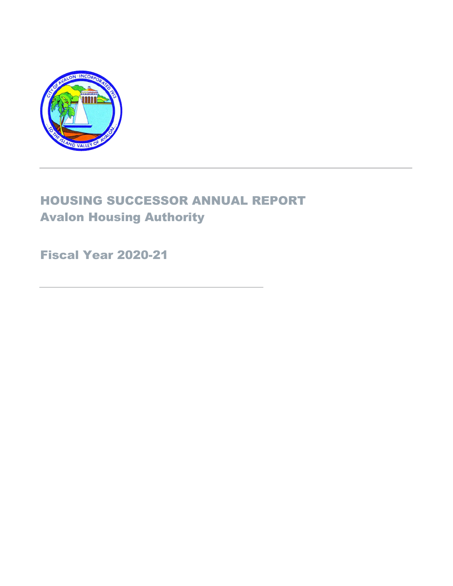

### HOUSING SUCCESSOR ANNUAL REPORT Avalon Housing Authority

### Fiscal Year 2020-21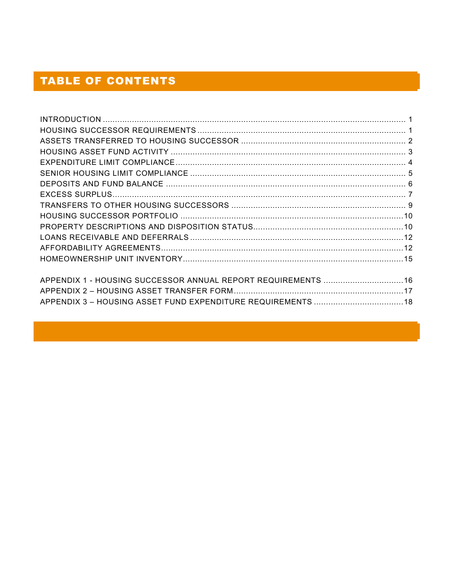### **TABLE OF CONTENTS**

| APPENDIX 1 - HOUSING SUCCESSOR ANNUAL REPORT REQUIREMENTS  16 |  |
|---------------------------------------------------------------|--|
|                                                               |  |
|                                                               |  |
|                                                               |  |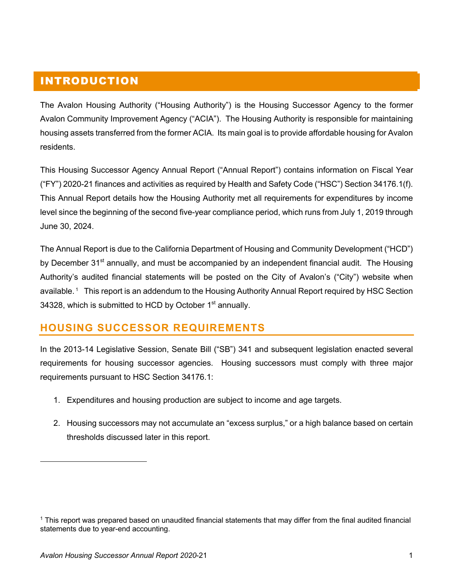### INTRODUCTION

The Avalon Housing Authority ("Housing Authority") is the Housing Successor Agency to the former Avalon Community Improvement Agency ("ACIA"). The Housing Authority is responsible for maintaining housing assets transferred from the former ACIA. Its main goal is to provide affordable housing for Avalon residents.

This Housing Successor Agency Annual Report ("Annual Report") contains information on Fiscal Year ("FY") 2020-21 finances and activities as required by Health and Safety Code ("HSC") Section 34176.1(f). This Annual Report details how the Housing Authority met all requirements for expenditures by income level since the beginning of the second five-year compliance period, which runs from July 1, 2019 through June 30, 2024.

The Annual Report is due to the California Department of Housing and Community Development ("HCD") by December 31<sup>st</sup> annually, and must be accompanied by an independent financial audit. The Housing Authority's audited financial statements will be posted on the City of Avalon's ("City") website when available. 1 This report is an addendum to the Housing Authority Annual Report required by HSC Section 34328, which is submitted to HCD by October 1<sup>st</sup> annually.

### **HOUSING SUCCESSOR REQUIREMENTS**

In the 2013-14 Legislative Session, Senate Bill ("SB") 341 and subsequent legislation enacted several requirements for housing successor agencies. Housing successors must comply with three major requirements pursuant to HSC Section 34176.1:

- 1. Expenditures and housing production are subject to income and age targets.
- 2. Housing successors may not accumulate an "excess surplus," or a high balance based on certain thresholds discussed later in this report.

<sup>1</sup> This report was prepared based on unaudited financial statements that may differ from the final audited financial statements due to year-end accounting.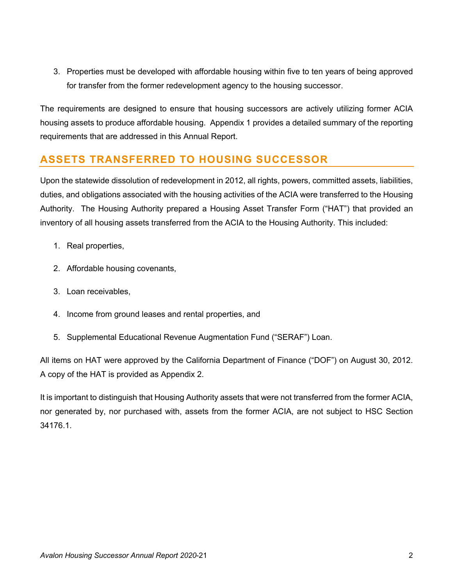3. Properties must be developed with affordable housing within five to ten years of being approved for transfer from the former redevelopment agency to the housing successor.

The requirements are designed to ensure that housing successors are actively utilizing former ACIA housing assets to produce affordable housing. Appendix 1 provides a detailed summary of the reporting requirements that are addressed in this Annual Report.

### **ASSETS TRANSFERRED TO HOUSING SUCCESSOR**

Upon the statewide dissolution of redevelopment in 2012, all rights, powers, committed assets, liabilities, duties, and obligations associated with the housing activities of the ACIA were transferred to the Housing Authority. The Housing Authority prepared a Housing Asset Transfer Form ("HAT") that provided an inventory of all housing assets transferred from the ACIA to the Housing Authority. This included:

- 1. Real properties,
- 2. Affordable housing covenants,
- 3. Loan receivables,
- 4. Income from ground leases and rental properties, and
- 5. Supplemental Educational Revenue Augmentation Fund ("SERAF") Loan.

All items on HAT were approved by the California Department of Finance ("DOF") on August 30, 2012. A copy of the HAT is provided as Appendix 2.

It is important to distinguish that Housing Authority assets that were not transferred from the former ACIA, nor generated by, nor purchased with, assets from the former ACIA, are not subject to HSC Section 34176.1.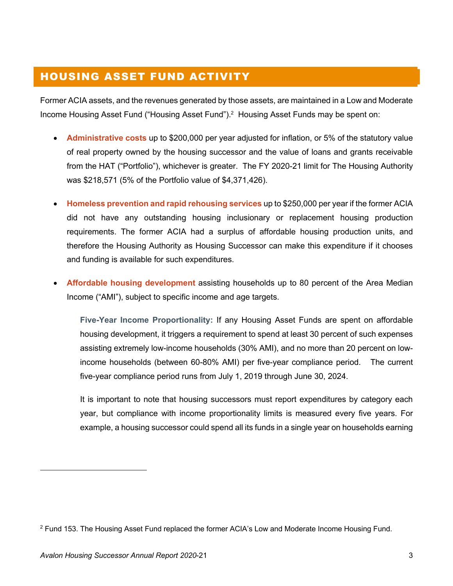### HOUSING ASSET FUND ACTIVITY

Former ACIA assets, and the revenues generated by those assets, are maintained in a Low and Moderate Income Housing Asset Fund ("Housing Asset Fund").2 Housing Asset Funds may be spent on:

- **Administrative costs** up to \$200,000 per year adjusted for inflation, or 5% of the statutory value of real property owned by the housing successor and the value of loans and grants receivable from the HAT ("Portfolio"), whichever is greater. The FY 2020-21 limit for The Housing Authority was \$218,571 (5% of the Portfolio value of \$4,371,426).
- **Homeless prevention and rapid rehousing services** up to \$250,000 per year if the former ACIA did not have any outstanding housing inclusionary or replacement housing production requirements. The former ACIA had a surplus of affordable housing production units, and therefore the Housing Authority as Housing Successor can make this expenditure if it chooses and funding is available for such expenditures.
- **Affordable housing development** assisting households up to 80 percent of the Area Median Income ("AMI"), subject to specific income and age targets.

**Five-Year Income Proportionality:** If any Housing Asset Funds are spent on affordable housing development, it triggers a requirement to spend at least 30 percent of such expenses assisting extremely low-income households (30% AMI), and no more than 20 percent on lowincome households (between 60-80% AMI) per five-year compliance period. The current five-year compliance period runs from July 1, 2019 through June 30, 2024.

It is important to note that housing successors must report expenditures by category each year, but compliance with income proportionality limits is measured every five years. For example, a housing successor could spend all its funds in a single year on households earning

<sup>&</sup>lt;sup>2</sup> Fund 153. The Housing Asset Fund replaced the former ACIA's Low and Moderate Income Housing Fund.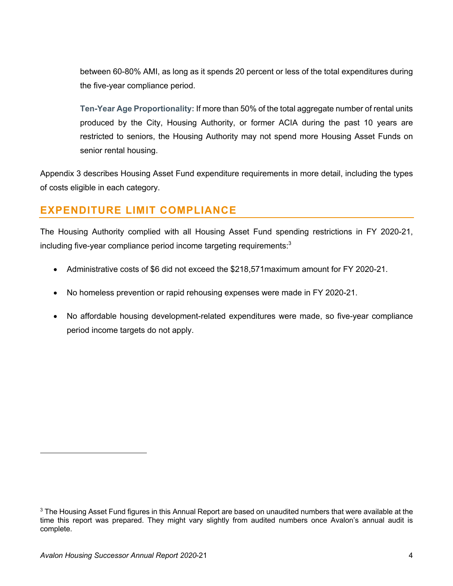between 60-80% AMI, as long as it spends 20 percent or less of the total expenditures during the five-year compliance period.

**Ten-Year Age Proportionality:** If more than 50% of the total aggregate number of rental units produced by the City, Housing Authority, or former ACIA during the past 10 years are restricted to seniors, the Housing Authority may not spend more Housing Asset Funds on senior rental housing.

Appendix 3 describes Housing Asset Fund expenditure requirements in more detail, including the types of costs eligible in each category.

### **EXPENDITURE LIMIT COMPLIANCE**

The Housing Authority complied with all Housing Asset Fund spending restrictions in FY 2020-21, including five-year compliance period income targeting requirements: $3$ 

- Administrative costs of \$6 did not exceed the \$218,571maximum amount for FY 2020-21.
- No homeless prevention or rapid rehousing expenses were made in FY 2020-21.
- No affordable housing development-related expenditures were made, so five-year compliance period income targets do not apply.

<sup>&</sup>lt;sup>3</sup> The Housing Asset Fund figures in this Annual Report are based on unaudited numbers that were available at the time this report was prepared. They might vary slightly from audited numbers once Avalon's annual audit is complete.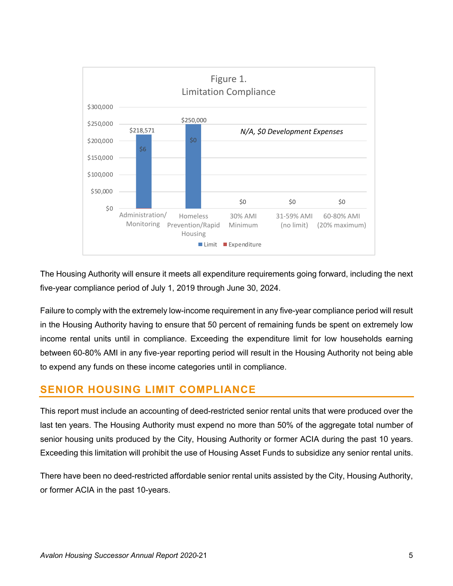

The Housing Authority will ensure it meets all expenditure requirements going forward, including the next five-year compliance period of July 1, 2019 through June 30, 2024.

Failure to comply with the extremely low-income requirement in any five-year compliance period will result in the Housing Authority having to ensure that 50 percent of remaining funds be spent on extremely low income rental units until in compliance. Exceeding the expenditure limit for low households earning between 60-80% AMI in any five-year reporting period will result in the Housing Authority not being able to expend any funds on these income categories until in compliance.

### **SENIOR HOUSING LIMIT COMPLIANCE**

This report must include an accounting of deed-restricted senior rental units that were produced over the last ten years. The Housing Authority must expend no more than 50% of the aggregate total number of senior housing units produced by the City, Housing Authority or former ACIA during the past 10 years. Exceeding this limitation will prohibit the use of Housing Asset Funds to subsidize any senior rental units.

There have been no deed-restricted affordable senior rental units assisted by the City, Housing Authority, or former ACIA in the past 10-years.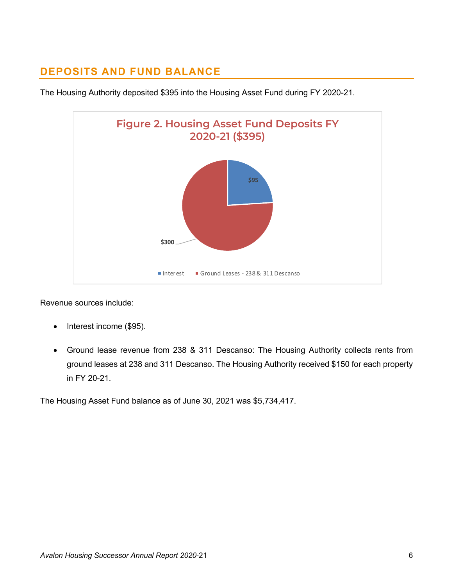### **DEPOSITS AND FUND BALANCE**



The Housing Authority deposited \$395 into the Housing Asset Fund during FY 2020-21.

Revenue sources include:

- Interest income (\$95).
- Ground lease revenue from 238 & 311 Descanso: The Housing Authority collects rents from ground leases at 238 and 311 Descanso. The Housing Authority received \$150 for each property in FY 20-21.

The Housing Asset Fund balance as of June 30, 2021 was \$5,734,417.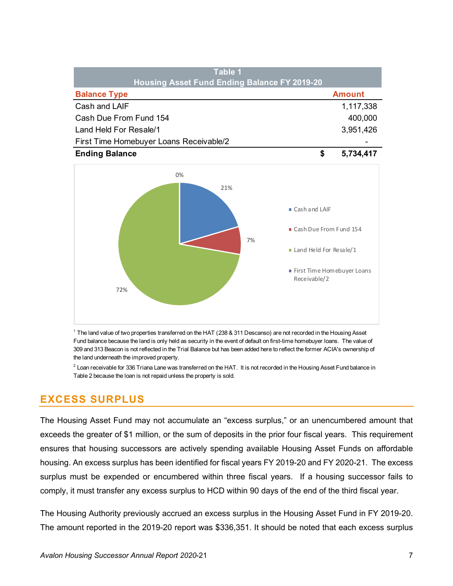| Table 1<br>Housing Asset Fund Ending Balance FY 2019-20 |               |
|---------------------------------------------------------|---------------|
| <b>Balance Type</b>                                     | <b>Amount</b> |
| Cash and LAIF                                           | 1,117,338     |
| Cash Due From Fund 154                                  | 400,000       |
| Land Held For Resale/1                                  | 3,951,426     |
| First Time Homebuyer Loans Receivable/2                 |               |
| <b>Ending Balance</b>                                   | 5,734,417     |



<sup>1</sup> The land value of two properties transferred on the HAT (238 & 311 Descanso) are not recorded in the Housing Asset Fund balance because the land is only held as security in the event of default on first-time homebuyer loans. The value of 309 and 313 Beacon is not reflected in the Trial Balance but has been added here to reflect the former ACIA's ownership of the land underneath the improved property.

 $^2$  Loan receivable for 336 Triana Lane was transferred on the HAT. It is not recorded in the Housing Asset Fund balance in Table 2 because the loan is not repaid unless the property is sold.

### **EXCESS SURPLUS**

The Housing Asset Fund may not accumulate an "excess surplus," or an unencumbered amount that exceeds the greater of \$1 million, or the sum of deposits in the prior four fiscal years. This requirement ensures that housing successors are actively spending available Housing Asset Funds on affordable housing. An excess surplus has been identified for fiscal years FY 2019-20 and FY 2020-21. The excess surplus must be expended or encumbered within three fiscal years. If a housing successor fails to comply, it must transfer any excess surplus to HCD within 90 days of the end of the third fiscal year.

The Housing Authority previously accrued an excess surplus in the Housing Asset Fund in FY 2019-20. The amount reported in the 2019-20 report was \$336,351. It should be noted that each excess surplus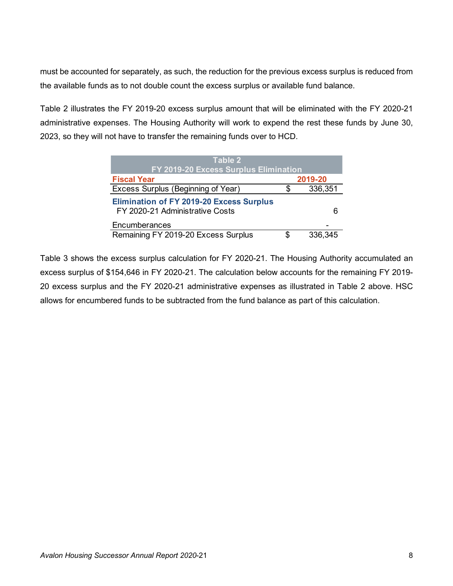must be accounted for separately, as such, the reduction for the previous excess surplus is reduced from the available funds as to not double count the excess surplus or available fund balance.

Table 2 illustrates the FY 2019-20 excess surplus amount that will be eliminated with the FY 2020-21 administrative expenses. The Housing Authority will work to expend the rest these funds by June 30, 2023, so they will not have to transfer the remaining funds over to HCD.

| Table 2<br>FY 2019-20 Excess Surplus Elimination                                   |   |         |
|------------------------------------------------------------------------------------|---|---------|
| <b>Fiscal Year</b>                                                                 |   | 2019-20 |
| Excess Surplus (Beginning of Year)                                                 |   | 336,351 |
| <b>Elimination of FY 2019-20 Excess Surplus</b><br>FY 2020-21 Administrative Costs |   | 6       |
| Encumberances                                                                      |   |         |
| Remaining FY 2019-20 Excess Surplus                                                | S | 336,345 |

Table 3 shows the excess surplus calculation for FY 2020-21. The Housing Authority accumulated an excess surplus of \$154,646 in FY 2020-21. The calculation below accounts for the remaining FY 2019- 20 excess surplus and the FY 2020-21 administrative expenses as illustrated in Table 2 above. HSC allows for encumbered funds to be subtracted from the fund balance as part of this calculation.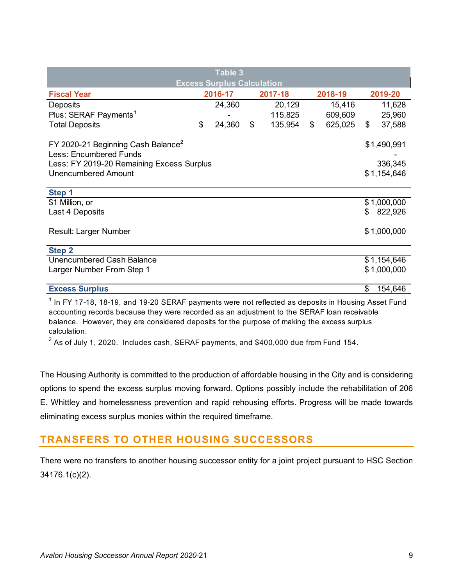|                                                                                 | <b>Table 3</b>                    |                           |         |               |     |             |
|---------------------------------------------------------------------------------|-----------------------------------|---------------------------|---------|---------------|-----|-------------|
|                                                                                 | <b>Excess Surplus Calculation</b> |                           |         |               |     |             |
| <b>Fiscal Year</b>                                                              | 2016-17                           |                           | 2017-18 | 2018-19       |     | 2019-20     |
| Deposits                                                                        | 24,360                            |                           | 20,129  | 15,416        |     | 11,628      |
| Plus: SERAF Payments <sup>1</sup>                                               |                                   |                           | 115,825 | 609,609       |     | 25,960      |
| <b>Total Deposits</b>                                                           | \$<br>24,360                      | $\boldsymbol{\mathsf{S}}$ | 135,954 | \$<br>625,025 | \$  | 37,588      |
| FY 2020-21 Beginning Cash Balance <sup>2</sup><br><b>Less: Encumbered Funds</b> |                                   |                           |         |               |     | \$1,490,991 |
| Less: FY 2019-20 Remaining Excess Surplus                                       |                                   |                           |         |               |     | 336,345     |
| Unencumbered Amount                                                             |                                   |                           |         |               |     | \$1,154,646 |
|                                                                                 |                                   |                           |         |               |     |             |
| Step 1                                                                          |                                   |                           |         |               |     |             |
| \$1 Million, or                                                                 |                                   |                           |         |               |     | \$1,000,000 |
| Last 4 Deposits                                                                 |                                   |                           |         |               | \$. | 822,926     |
|                                                                                 |                                   |                           |         |               |     |             |
| Result: Larger Number                                                           |                                   |                           |         |               |     | \$1,000,000 |
|                                                                                 |                                   |                           |         |               |     |             |
| <b>Step 2</b>                                                                   |                                   |                           |         |               |     |             |
| Unencumbered Cash Balance                                                       |                                   |                           |         |               |     | \$1,154,646 |
| Larger Number From Step 1                                                       |                                   |                           |         |               |     | \$1,000,000 |
|                                                                                 |                                   |                           |         |               |     |             |
| <b>Excess Surplus</b>                                                           |                                   |                           |         |               | \$  | 154,646     |

 $1$  In FY 17-18, 18-19, and 19-20 SERAF payments were not reflected as deposits in Housing Asset Fund accounting records because they were recorded as an adjustment to the SERAF loan receivable balance. However, they are considered deposits for the purpose of making the excess surplus calculation.

 $^2$  As of July 1, 2020. Includes cash, SERAF payments, and \$400,000 due from Fund 154.

The Housing Authority is committed to the production of affordable housing in the City and is considering options to spend the excess surplus moving forward. Options possibly include the rehabilitation of 206 E. Whittley and homelessness prevention and rapid rehousing efforts. Progress will be made towards eliminating excess surplus monies within the required timeframe.

### **TRANSFERS TO OTHER HOUSING SUCCESSORS**

There were no transfers to another housing successor entity for a joint project pursuant to HSC Section 34176.1(c)(2).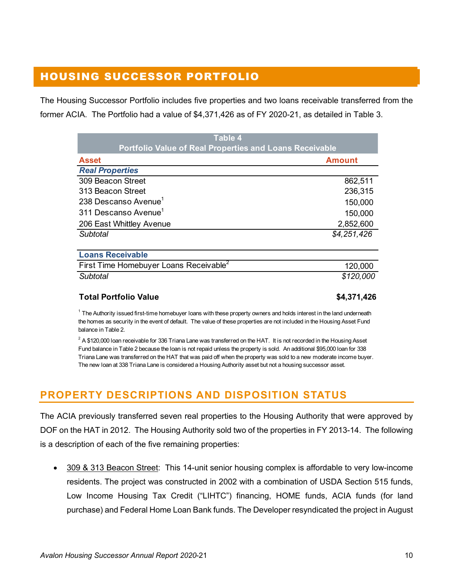### HOUSING SUCCESSOR PORTFOLIO

The Housing Successor Portfolio includes five properties and two loans receivable transferred from the former ACIA. The Portfolio had a value of \$4,371,426 as of FY 2020-21, as detailed in Table 3.

| <b>Table 4</b><br><b>Portfolio Value of Real Properties and Loans Receivable</b> |               |
|----------------------------------------------------------------------------------|---------------|
| <b>Asset</b>                                                                     | <b>Amount</b> |
| <b>Real Properties</b>                                                           |               |
| 309 Beacon Street                                                                | 862,511       |
| 313 Beacon Street                                                                | 236,315       |
| 238 Descanso Avenue <sup>1</sup>                                                 | 150,000       |
| 311 Descanso Avenue <sup>1</sup>                                                 | 150,000       |
| 206 East Whittley Avenue                                                         | 2,852,600     |
| Subtotal                                                                         | \$4,251,426   |
| <b>Loans Receivable</b>                                                          |               |
| First Time Homebuyer Loans Receivable <sup>2</sup>                               | 120,000       |
| Subtotal                                                                         | \$120,000     |

### **Total Portfolio Value \$4,371,426**

 $1$  The Authority issued first-time homebuyer loans with these property owners and holds interest in the land underneath the homes as security in the event of default. The value of these properties are not included in the Housing Asset Fund balance in Table 2.

 $^2$  A \$120,000 loan receivable for 336 Triana Lane was transferred on the HAT. It is not recorded in the Housing Asset Fund balance in Table 2 because the loan is not repaid unless the property is sold. An additional \$95,000 loan for 338 Triana Lane was transferred on the HAT that was paid off when the property was sold to a new moderate income buyer. The new loan at 338 Triana Lane is considered a Housing Authority asset but not a housing successor asset.

### **PROPERTY DESCRIPTIONS AND DISPOSITION STATUS**

The ACIA previously transferred seven real properties to the Housing Authority that were approved by DOF on the HAT in 2012. The Housing Authority sold two of the properties in FY 2013-14. The following is a description of each of the five remaining properties:

• 309 & 313 Beacon Street: This 14-unit senior housing complex is affordable to very low-income residents. The project was constructed in 2002 with a combination of USDA Section 515 funds, Low Income Housing Tax Credit ("LIHTC") financing, HOME funds, ACIA funds (for land purchase) and Federal Home Loan Bank funds. The Developer resyndicated the project in August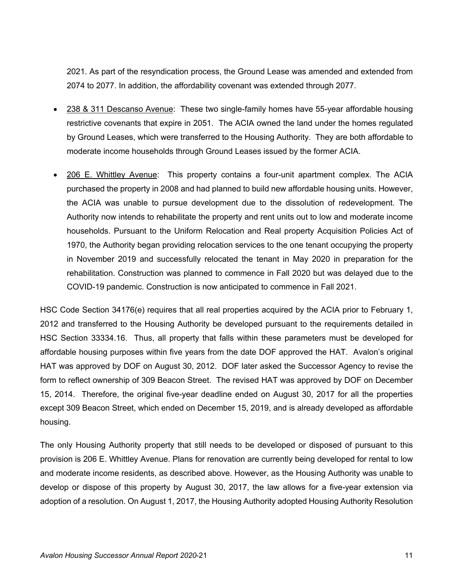2021. As part of the resyndication process, the Ground Lease was amended and extended from 2074 to 2077. In addition, the affordability covenant was extended through 2077.

- 238 & 311 Descanso Avenue: These two single-family homes have 55-year affordable housing restrictive covenants that expire in 2051. The ACIA owned the land under the homes regulated by Ground Leases, which were transferred to the Housing Authority. They are both affordable to moderate income households through Ground Leases issued by the former ACIA.
- 206 E. Whittley Avenue: This property contains a four-unit apartment complex. The ACIA purchased the property in 2008 and had planned to build new affordable housing units. However, the ACIA was unable to pursue development due to the dissolution of redevelopment. The Authority now intends to rehabilitate the property and rent units out to low and moderate income households. Pursuant to the Uniform Relocation and Real property Acquisition Policies Act of 1970, the Authority began providing relocation services to the one tenant occupying the property in November 2019 and successfully relocated the tenant in May 2020 in preparation for the rehabilitation. Construction was planned to commence in Fall 2020 but was delayed due to the COVID-19 pandemic. Construction is now anticipated to commence in Fall 2021.

HSC Code Section 34176(e) requires that all real properties acquired by the ACIA prior to February 1, 2012 and transferred to the Housing Authority be developed pursuant to the requirements detailed in HSC Section 33334.16. Thus, all property that falls within these parameters must be developed for affordable housing purposes within five years from the date DOF approved the HAT. Avalon's original HAT was approved by DOF on August 30, 2012. DOF later asked the Successor Agency to revise the form to reflect ownership of 309 Beacon Street. The revised HAT was approved by DOF on December 15, 2014. Therefore, the original five-year deadline ended on August 30, 2017 for all the properties except 309 Beacon Street, which ended on December 15, 2019, and is already developed as affordable housing.

The only Housing Authority property that still needs to be developed or disposed of pursuant to this provision is 206 E. Whittley Avenue. Plans for renovation are currently being developed for rental to low and moderate income residents, as described above. However, as the Housing Authority was unable to develop or dispose of this property by August 30, 2017, the law allows for a five-year extension via adoption of a resolution. On August 1, 2017, the Housing Authority adopted Housing Authority Resolution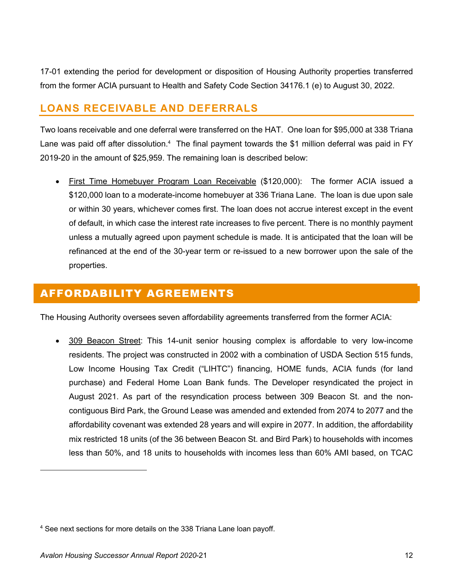17-01 extending the period for development or disposition of Housing Authority properties transferred from the former ACIA pursuant to Health and Safety Code Section 34176.1 (e) to August 30, 2022.

### **LOANS RECEIVABLE AND DEFERRALS**

Two loans receivable and one deferral were transferred on the HAT. One loan for \$95,000 at 338 Triana Lane was paid off after dissolution.<sup>4</sup> The final payment towards the \$1 million deferral was paid in FY 2019-20 in the amount of \$25,959. The remaining loan is described below:

• First Time Homebuyer Program Loan Receivable (\$120,000): The former ACIA issued a \$120,000 loan to a moderate-income homebuyer at 336 Triana Lane. The loan is due upon sale or within 30 years, whichever comes first. The loan does not accrue interest except in the event of default, in which case the interest rate increases to five percent. There is no monthly payment unless a mutually agreed upon payment schedule is made. It is anticipated that the loan will be refinanced at the end of the 30-year term or re-issued to a new borrower upon the sale of the properties.

### AFFORDABILITY AGREEMENTS

The Housing Authority oversees seven affordability agreements transferred from the former ACIA:

• 309 Beacon Street: This 14-unit senior housing complex is affordable to very low-income residents. The project was constructed in 2002 with a combination of USDA Section 515 funds, Low Income Housing Tax Credit ("LIHTC") financing, HOME funds, ACIA funds (for land purchase) and Federal Home Loan Bank funds. The Developer resyndicated the project in August 2021. As part of the resyndication process between 309 Beacon St. and the noncontiguous Bird Park, the Ground Lease was amended and extended from 2074 to 2077 and the affordability covenant was extended 28 years and will expire in 2077. In addition, the affordability mix restricted 18 units (of the 36 between Beacon St. and Bird Park) to households with incomes less than 50%, and 18 units to households with incomes less than 60% AMI based, on TCAC

<sup>4</sup> See next sections for more details on the 338 Triana Lane loan payoff.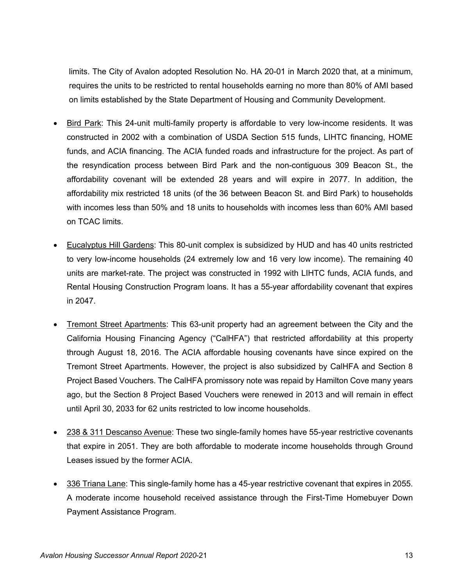limits. The City of Avalon adopted Resolution No. HA 20-01 in March 2020 that, at a minimum, requires the units to be restricted to rental households earning no more than 80% of AMI based on limits established by the State Department of Housing and Community Development.

- Bird Park: This 24-unit multi-family property is affordable to very low-income residents. It was constructed in 2002 with a combination of USDA Section 515 funds, LIHTC financing, HOME funds, and ACIA financing. The ACIA funded roads and infrastructure for the project. As part of the resyndication process between Bird Park and the non-contiguous 309 Beacon St., the affordability covenant will be extended 28 years and will expire in 2077. In addition, the affordability mix restricted 18 units (of the 36 between Beacon St. and Bird Park) to households with incomes less than 50% and 18 units to households with incomes less than 60% AMI based on TCAC limits.
- Eucalyptus Hill Gardens: This 80-unit complex is subsidized by HUD and has 40 units restricted to very low-income households (24 extremely low and 16 very low income). The remaining 40 units are market-rate. The project was constructed in 1992 with LIHTC funds, ACIA funds, and Rental Housing Construction Program loans. It has a 55-year affordability covenant that expires in 2047.
- Tremont Street Apartments: This 63-unit property had an agreement between the City and the California Housing Financing Agency ("CalHFA") that restricted affordability at this property through August 18, 2016. The ACIA affordable housing covenants have since expired on the Tremont Street Apartments. However, the project is also subsidized by CalHFA and Section 8 Project Based Vouchers. The CalHFA promissory note was repaid by Hamilton Cove many years ago, but the Section 8 Project Based Vouchers were renewed in 2013 and will remain in effect until April 30, 2033 for 62 units restricted to low income households.
- 238 & 311 Descanso Avenue: These two single-family homes have 55-year restrictive covenants that expire in 2051. They are both affordable to moderate income households through Ground Leases issued by the former ACIA.
- 336 Triana Lane: This single-family home has a 45-year restrictive covenant that expires in 2055. A moderate income household received assistance through the First-Time Homebuyer Down Payment Assistance Program.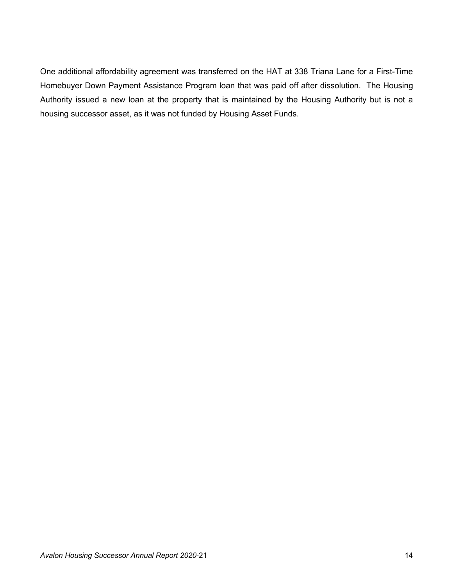One additional affordability agreement was transferred on the HAT at 338 Triana Lane for a First-Time Homebuyer Down Payment Assistance Program loan that was paid off after dissolution. The Housing Authority issued a new loan at the property that is maintained by the Housing Authority but is not a housing successor asset, as it was not funded by Housing Asset Funds.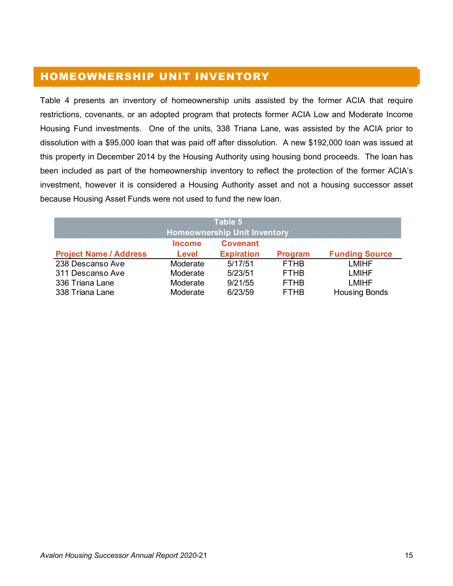### HOMEOWNERSHIP UNIT INVENTORY

Table 4 presents an inventory of homeownership units assisted by the former ACIA that require restrictions, covenants, or an adopted program that protects former ACIA Low and Moderate Income Housing Fund investments. One of the units, 338 Triana Lane, was assisted by the ACIA prior to dissolution with a \$95,000 loan that was paid off after dissolution. A new \$192,000 loan was issued at this property in December 2014 by the Housing Authority using housing bond proceeds. The loan has been included as part of the homeownership inventory to reflect the protection of the former ACIA's investment, however it is considered a Housing Authority asset and not a housing successor asset because Housing Asset Funds were not used to fund the new loan.

|                               |               | Table 5                             |                |                       |
|-------------------------------|---------------|-------------------------------------|----------------|-----------------------|
|                               |               | <b>Homeownership Unit Inventory</b> |                |                       |
|                               | <b>Income</b> | <b>Covenant</b>                     |                |                       |
| <b>Project Name / Address</b> | <b>Level</b>  | <b>Expiration</b>                   | <b>Program</b> | <b>Funding Source</b> |
| 238 Descanso Ave              | Moderate      | 5/17/51                             | <b>FTHB</b>    | <b>LMIHF</b>          |
| 311 Descanso Ave              | Moderate      | 5/23/51                             | <b>FTHB</b>    | <b>LMIHF</b>          |
| 336 Triana Lane               | Moderate      | 9/21/55                             | <b>FTHB</b>    | <b>LMIHF</b>          |
| 338 Triana Lane               | Moderate      | 6/23/59                             | <b>FTHB</b>    | <b>Housing Bonds</b>  |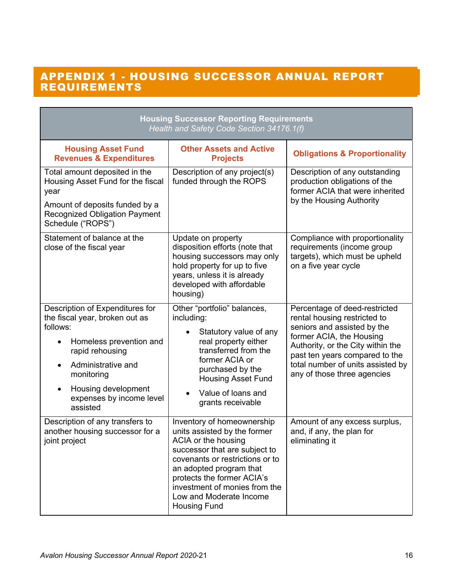### APPENDIX 1 - HOUSING SUCCESSOR ANNUAL REPORT REQUIREMENTS

|                                                                                                                                                                                                                                             | <b>Housing Successor Reporting Requirements</b><br>Health and Safety Code Section 34176.1(f)                                                                                                                                                                                                      |                                                                                                                                                                                                                                                                     |
|---------------------------------------------------------------------------------------------------------------------------------------------------------------------------------------------------------------------------------------------|---------------------------------------------------------------------------------------------------------------------------------------------------------------------------------------------------------------------------------------------------------------------------------------------------|---------------------------------------------------------------------------------------------------------------------------------------------------------------------------------------------------------------------------------------------------------------------|
| <b>Housing Asset Fund</b><br><b>Revenues &amp; Expenditures</b>                                                                                                                                                                             | <b>Other Assets and Active</b><br><b>Projects</b>                                                                                                                                                                                                                                                 | <b>Obligations &amp; Proportionality</b>                                                                                                                                                                                                                            |
| Total amount deposited in the<br>Housing Asset Fund for the fiscal<br>year<br>Amount of deposits funded by a<br><b>Recognized Obligation Payment</b><br>Schedule ("ROPS")                                                                   | Description of any project(s)<br>funded through the ROPS                                                                                                                                                                                                                                          | Description of any outstanding<br>production obligations of the<br>former ACIA that were inherited<br>by the Housing Authority                                                                                                                                      |
| Statement of balance at the<br>close of the fiscal year                                                                                                                                                                                     | Update on property<br>disposition efforts (note that<br>housing successors may only<br>hold property for up to five<br>years, unless it is already<br>developed with affordable<br>housing)                                                                                                       | Compliance with proportionality<br>requirements (income group<br>targets), which must be upheld<br>on a five year cycle                                                                                                                                             |
| Description of Expenditures for<br>the fiscal year, broken out as<br>follows:<br>Homeless prevention and<br>rapid rehousing<br>Administrative and<br>monitoring<br>Housing development<br>$\bullet$<br>expenses by income level<br>assisted | Other "portfolio" balances,<br>including:<br>Statutory value of any<br>real property either<br>transferred from the<br>former ACIA or<br>purchased by the<br><b>Housing Asset Fund</b><br>Value of loans and<br>grants receivable                                                                 | Percentage of deed-restricted<br>rental housing restricted to<br>seniors and assisted by the<br>former ACIA, the Housing<br>Authority, or the City within the<br>past ten years compared to the<br>total number of units assisted by<br>any of those three agencies |
| Description of any transfers to<br>another housing successor for a<br>joint project                                                                                                                                                         | Inventory of homeownership<br>units assisted by the former<br>ACIA or the housing<br>successor that are subject to<br>covenants or restrictions or to<br>an adopted program that<br>protects the former ACIA's<br>investment of monies from the<br>Low and Moderate Income<br><b>Housing Fund</b> | Amount of any excess surplus,<br>and, if any, the plan for<br>eliminating it                                                                                                                                                                                        |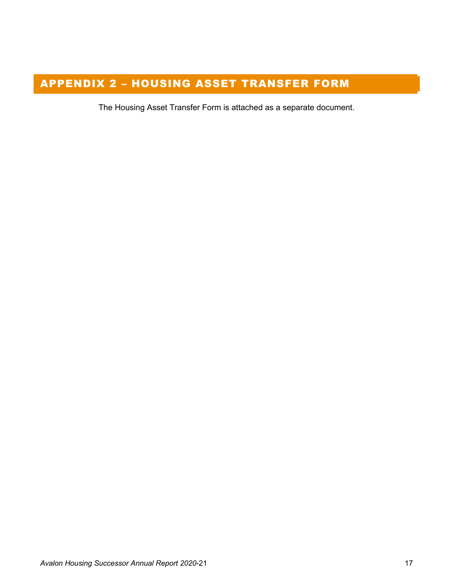### APPENDIX 2 – HOUSING ASSET TRANSFER FORM

The Housing Asset Transfer Form is attached as a separate document.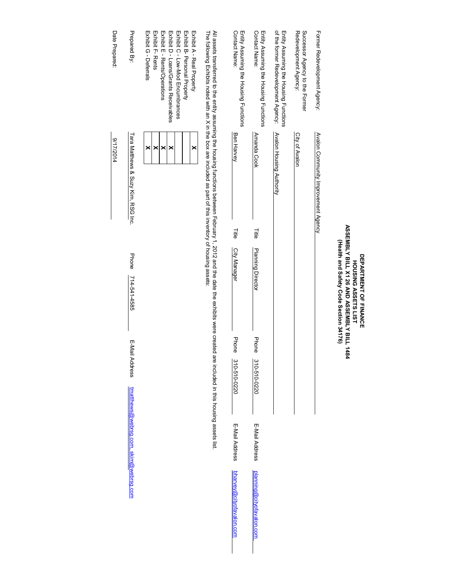|                                                                                                                                                                                                                                                                                              |                                     |       | ASSEMBLY BILL X1 26 AND ASSEMBLY BILL 1484<br>(Health and Safety Code Section 34176)<br><b>DEPARTMENT OF FINANCE</b><br><b>HOUSING ASSETS LIST</b> |       |                |                                       |                                 |
|----------------------------------------------------------------------------------------------------------------------------------------------------------------------------------------------------------------------------------------------------------------------------------------------|-------------------------------------|-------|----------------------------------------------------------------------------------------------------------------------------------------------------|-------|----------------|---------------------------------------|---------------------------------|
| Former Redevelopment Agency:                                                                                                                                                                                                                                                                 | Avalon Community Improvement Agency |       |                                                                                                                                                    |       |                |                                       |                                 |
| Successor Agency to the Former<br>Redevelopment Agency                                                                                                                                                                                                                                       | City of Avalon                      |       |                                                                                                                                                    |       |                |                                       |                                 |
| of the former Redevelopment Agency:<br>Entity Assuming the Housing Functions                                                                                                                                                                                                                 | <b>Avalon Housing Authority</b>     |       |                                                                                                                                                    |       |                |                                       |                                 |
| Contact Name:<br>Entity Assuming the Housing Functions                                                                                                                                                                                                                                       | <b>Amanda Cook</b>                  | Title | <b>Planning Director</b>                                                                                                                           | Phone | 310-510-0220   | E-Mail Address                        | planning@cityofavalon.com       |
| Contact Name:<br>Entity Assuming the Housing Functions                                                                                                                                                                                                                                       | <b>Ben Harvey</b>                   | 딅     | City Manager                                                                                                                                       | Phone | 310-510-0220   | E-Mail Address                        | <u>bharvey@cityofavalon.com</u> |
| The following Exhibits noted with an X in the box are included as part of this inventory of housing assets:<br>All assets transferred to the entity assuming the housing functions between February 1, 2012 and the date the exhibits were created are included in this housing assets list. |                                     |       |                                                                                                                                                    |       |                |                                       |                                 |
| Exhibit E - Rents/Operations<br>Exhibit D - Loans/Grants Receivables<br>Exhibit C - Low-Mod Encumbrances<br>Exhibit B-Personal Property<br>Exhibit A - Real Property<br>Exhibit G - Deferrals<br>Exhibit F-Rents                                                                             | ×<br>×<br>×<br>×<br>×               |       |                                                                                                                                                    |       |                |                                       |                                 |
| Prepared By:                                                                                                                                                                                                                                                                                 | Tara Matthews & Suzy Kim, RSG Inc.  |       | Phone<br>714-541-4585                                                                                                                              |       | E-Mail Address | tmatthews@webrsg.com, skim@webrsg.com |                                 |
| Date Prepared:                                                                                                                                                                                                                                                                               | 417/2014                            |       |                                                                                                                                                    |       |                |                                       |                                 |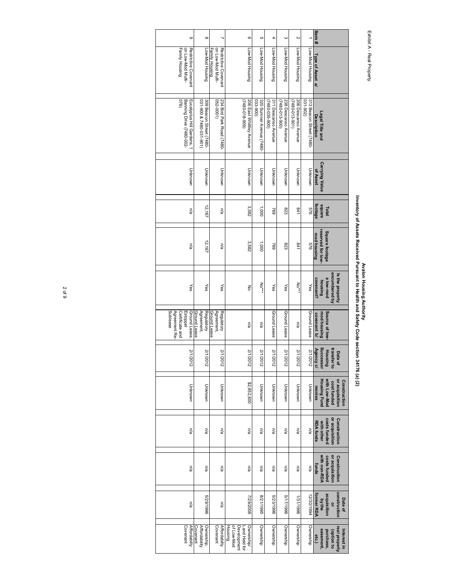### Exhibit A - Real Property Exhibit A - Real Property

## Avalon Housing Automy (1997)<br>Inventory of Assets Received Pursuant to Health and Safety Code section 34176 (a) **Inventory of Assets Received Pursuant to Health and Safety Code section 34176 (a) (2) Avalon Housing Authority**

| $\circ$                                                                 | $\infty$                                            | ⊣                                                           | တ                                                                   | <b>G</b>                             | 4                                           | $\omega$                                    | N                                           |                                         | ltem#                                                                                          |
|-------------------------------------------------------------------------|-----------------------------------------------------|-------------------------------------------------------------|---------------------------------------------------------------------|--------------------------------------|---------------------------------------------|---------------------------------------------|---------------------------------------------|-----------------------------------------|------------------------------------------------------------------------------------------------|
| on Low-Mod Multi-<br>Family Housing<br>Restrictive Covenant             | Low-Mod Housing                                     | on Low-Mod Multi-<br>Restrictive Covenant<br>Family Housing | Low-Mod Housing                                                     | Low-Mod Housing                      | Low-Mod Housing                             | Low-Mod Housing                             | Low-Mod Housing                             | Low-Mod Housing                         | Type of Asset al                                                                               |
| 076)<br>Banning Drive (7480-002-<br>Eucalyptus Hill Gardens, 1          | 309 Beacon Street (7480-<br>031-900 & 7480-031-901) | 234 Bird Park Road (7480-<br>(1000-290                      | $(606 - 810 - 08 + 2)$<br>206 East Whitley Avenue                   | 320 Sumner Avenue (7480-<br>033-900) | 311 Descanso Avenue<br>$(7480 - 355 - 900)$ | 238 Descanso Avenue<br>$(7480 - 013 - 900)$ | 206 Descanso Avenue<br>$(7480 - 013 - 901)$ | 313 Beacon Street (7480-<br>$031 - 902$ | Legal Title and<br><b>Description</b>                                                          |
| Unknown                                                                 | Unknown                                             | Unknown                                                     | Unknown                                                             | Unknown                              | Unknown                                     | Unknown                                     | Unknown                                     | Unknown                                 | <b>Carrying Value</b><br>of Asset                                                              |
| n/a                                                                     | 12, 167                                             | n/a                                                         | 3,582                                                               | 000'L                                | 769                                         | 823                                         | 541                                         | 929                                     | <b>Footage</b><br>square<br>Total                                                              |
| n/a                                                                     | 12,167                                              | n/a                                                         | 3,582                                                               | 1,000                                | 692                                         | 823                                         | $1+8$                                       | 976                                     | reserved for low-<br>Square footage<br>mod housing                                             |
| Yes                                                                     | Yes                                                 | Yes                                                         | ξ                                                                   | No***                                | ≫                                           | Yes                                         | $M_0***$                                    | ⊁es                                     | encumbered by<br>Is the property<br>a low-mod<br>covenant?<br>puisnou                          |
| Sublease<br>Ground Lease<br>Agreement Re<br>Estoppel<br>Certificate and | Ground Lease<br>Regulatory<br>Agreement,            | Ground Lease<br>Agreement,<br>Regulatory                    | ma                                                                  | ma                                   | Ground Lease                                | Ground Lease                                | ma                                          | Ground Lease                            | Source of low<br>mod housing<br>covenant b/                                                    |
| 2/1/2012                                                                | 2/1/2012                                            | 2/1/2012                                                    | 2/1/2012                                                            | 2/1/2012                             | 2/1/2012                                    | 2/1/2012                                    | 2/1/2012                                    | 2/1/2012                                | Successor<br>transfer to<br>Agency c/<br>Housing<br>Date of                                    |
| Unknown                                                                 | Unknown                                             | Unknown                                                     | \$2,852,600                                                         | Unknown                              | Unknown                                     | Unknown                                     | Unknown                                     | Unknown                                 | <b>Housing Fund</b><br>with Low-Mod<br>or acquisition<br>Construction<br>cost funded<br>monies |
| ma                                                                      | ma                                                  | ma                                                          | ma                                                                  | ma                                   | ma                                          | ma                                          | ma                                          | ma                                      | or acquisition<br>costs funded<br>Construction<br><b>RDA funds</b><br>with other               |
| n/a                                                                     | n/a                                                 | n/a                                                         | n/a                                                                 | n/a                                  | n/a                                         | n/a                                         | n/a                                         | n/a                                     | or acquisition<br>with non-RDA<br>costs funded<br>Construction<br>funds                        |
| na                                                                      | 9661/62/9                                           | ma                                                          | 7/29/2008                                                           | 8/21/1995                            | 5/23/1996                                   | 5/17/1996                                   | 1/31/1996                                   | 12/30/1994                              | construction<br>former RDA<br>acquisition<br>Date of<br>by the<br>$\frac{1}{2}$                |
| <b>Affordabilty</b><br>Covenant                                         | Ownership,<br>Affordability<br>Covenant             | <b>Affordabilty</b><br>Covenant                             | of Low-Mod<br>Housing<br>Development<br>Ownership/<br>Land Held for | Ownership                            | Ownership                                   | Ownership                                   | Ownership                                   | Ownership                               | real property<br>easement,<br>Interest in<br>purchase,<br>(option to<br>etc.)                  |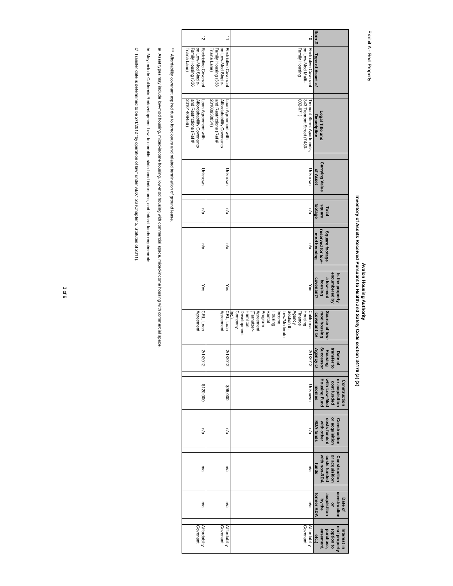Exhibit A - Real Property Exhibit A - Real Property

## Avalon Hearth Avalon Housing Authority<br>Inventory of Assets Received Pursuant to Health and Safety Code section 34176 (a) (2) **Inventory of Assets Received Pursuant to Health and Safety Code section 34176 (a) (2) Avalon Housing Authority**

| $\vec{z}$                                                                                   | ⇉                                                                                           | $\vec{0}$                                                                                                                                                                                  | ltem#                                                                                          |
|---------------------------------------------------------------------------------------------|---------------------------------------------------------------------------------------------|--------------------------------------------------------------------------------------------------------------------------------------------------------------------------------------------|------------------------------------------------------------------------------------------------|
| on Low-Mod Single-<br>Restrictive Covenant<br>Family Housing (336<br>riana Lane)            | Restrictive Covenant<br>Family Housing (338<br>on Low-Mod Single-<br>riana Lane)            | Restrictive Covenant<br>on Low-Mod Multi-<br>Family Housing                                                                                                                                | Type of Asset al                                                                               |
| and Restrictions (Ref #<br>20101409456)<br>Affordabability Covenants<br>Loan Agreement with | and Restrictions (Ref #<br>Affordabability Covenants<br>20100930834)<br>Loan Agreement with | $002 - 071$<br>343 Tremont Street (7480-<br>remont Street Apartments                                                                                                                       | Legal Title and<br>Description                                                                 |
| Unknown                                                                                     | Unknown                                                                                     | Unknown                                                                                                                                                                                    | <b>Carrying Value</b><br>of Asset                                                              |
| n/a                                                                                         | n/a                                                                                         | n/a                                                                                                                                                                                        | footage<br>square<br>Total                                                                     |
| na                                                                                          | n/a                                                                                         | n/a                                                                                                                                                                                        | reserved for low-<br>Square footage<br>mod housing                                             |
| γes                                                                                         | γes                                                                                         | Yes                                                                                                                                                                                        | encumbered by<br>Is the property<br>pow-wole<br>covenant?<br>pousing                           |
| Agreement<br>CRL, Loan                                                                      | Agreement<br>CRL, Loan                                                                      | Development<br>Agreement<br>Program<br>Rental<br>Section 8,<br>Agency<br>Company,<br>Housing<br>Low/Moderate<br>Finance<br>California<br>Hamilton<br>Income<br>Housing<br>(Tarnutzer-<br>Ŗ | Source of low<br>mod housing<br>covenant b/                                                    |
| 2/1/2012                                                                                    | 2/1/2012                                                                                    | 2/1/2012                                                                                                                                                                                   | transfer to<br>Housing<br>Agency c/<br>Date of                                                 |
| \$120,000                                                                                   | \$95,000                                                                                    | Unknown                                                                                                                                                                                    | <b>Housing Fund</b><br>or acquisition<br>with Low-Mod<br>Construction<br>cost funded<br>monies |
| ma                                                                                          | ma                                                                                          | na                                                                                                                                                                                         | or acquisition<br>Construction<br>costs funded<br><b>RDA funds</b><br>with other               |
| na                                                                                          | n/a                                                                                         | n/a                                                                                                                                                                                        | or acquisition<br>with non-RDA<br>Construction<br>costs funded<br>funds                        |
| na                                                                                          | n/a                                                                                         | ma                                                                                                                                                                                         | construction<br>acquisition<br>former RDA<br>by the<br>Date of<br>q                            |
| Covenant<br><b>Affordabilty</b>                                                             | Covenant<br><b>Affordabilty</b>                                                             | Covenant<br><b>Affordabilty</b>                                                                                                                                                            | real property<br>easement,<br>Interest in<br>purchase,<br>option to<br>etc.)                   |

\*\*\* Affordability covenant expired due to foreclosure and related termination of ground lease. \*\*\* Affordability covenant expired due to foreclosure and related termination of ground lease.

a/ Assettypes may include low-mod housing, mixed-income housing, low-mod housing with commercial space, mixed-income lousing with commercial space. a/ Asset types may include low-mod housing, mixed-income housing, low-mod housing with commercial space, mixed-income housing with commercial space.

b/ May include California Redevelopment Law, tax credits, state bond indentures, and federal funds requirements. b/ May include California Redevelopment Law, tax credits, state bond indentures, and federal funds requirements.

c/ Transfer date is determined to be 2/1/2012 "by operation of law" under ABX1 26 (Chapter 5, Statutes of 2011). c/ Transfer date is determined to be 2/1/2012 "by operation of law" under ABX1 26 (Chapter 5, Statutes of 2011).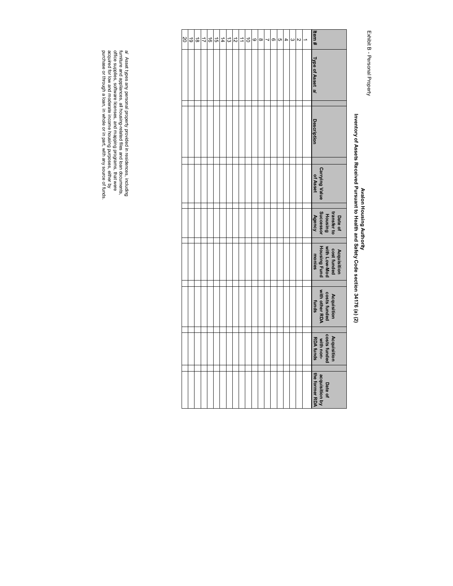Exhibit B - Personal Property Exhibit B - Personal Property

## Avalon Housing Authority<br>Inventory of Assets Received Pursuant to Health and Safety Code section 34176 (a) (2) **Inventory of Assets Received Pursuant to Health and Safety Code section 34176 (a) (2) Avalon Housing Authority**

| $\overline{50}$ | 이유 |  |  | 의의치의의 | $\overrightarrow{=}$ |  | $ \mathcal{A} \mathcal{A} \mathcal{A} \mathcal{A} \mathcal{A} \mathcal{A} \mathcal{A} \mathcal{B}$ |  |  |  | ltem #                                                               |
|-----------------|----|--|--|-------|----------------------|--|----------------------------------------------------------------------------------------------------|--|--|--|----------------------------------------------------------------------|
|                 |    |  |  |       |                      |  |                                                                                                    |  |  |  | Type of Asset al                                                     |
|                 |    |  |  |       |                      |  |                                                                                                    |  |  |  | Description                                                          |
|                 |    |  |  |       |                      |  |                                                                                                    |  |  |  | <b>Carrying Value</b><br>of Asset                                    |
|                 |    |  |  |       |                      |  |                                                                                                    |  |  |  | transfer to<br>Housing<br>Agency<br>Agency<br>Date of                |
|                 |    |  |  |       |                      |  |                                                                                                    |  |  |  | Acquisition<br>cost funded<br>with Low-Mod<br>Housing Fund<br>monies |
|                 |    |  |  |       |                      |  |                                                                                                    |  |  |  | Acquisition<br>costs funded<br>with other RDA<br>funds               |
|                 |    |  |  |       |                      |  |                                                                                                    |  |  |  | Acquisition<br>costs funded<br>with non-<br>RDA funds                |
|                 |    |  |  |       |                      |  |                                                                                                    |  |  |  | acquisition by<br>the former RDA<br>Date of                          |

a/ Asset types any personal property provided in residences, including furniture and appliances, all housing-related files and loan documents, office supplies, software licenses, and mapping programs, that were acquired fo purchase or through a loan, in whole or in part, with any source of funds. acquired for low and moderate income housing purposes, either by office supplies, software licenses, and mapping programs, that were furniture and appliances, all housing-related files and loan documents, a/ Asset types any personal property provided in residences, including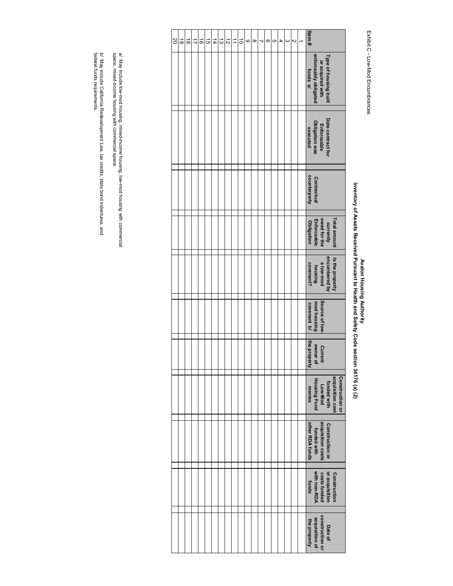### Exhibit C - Low-Mod Encumbrances Exhibit C - Low-Mod Encumbrances

## Avalon Housing Authority<br>Inventory of Assets Received Pursuant to Health and Safety Code section 34176 (a) (2) **Inventory of Assets Received Pursuant to Health and Safety Code section 34176 (a) (2) Avalon Housing Authority**

| SO | ಠ | $\vec{8}$ | ゴ | ಹ | ದ | $\sharp$ | ದ | $\vec{v}$ | ⇉ | ਰੋ | O | $\infty$ | 4 | σ | cл | 4 | ယ | N | Item#                                                                                                 |
|----|---|-----------|---|---|---|----------|---|-----------|---|----|---|----------|---|---|----|---|---|---|-------------------------------------------------------------------------------------------------------|
|    |   |           |   |   |   |          |   |           |   |    |   |          |   |   |    |   |   |   | enforceably obligated<br>Type of housing built<br>or acquired with<br>funds a/                        |
|    |   |           |   |   |   |          |   |           |   |    |   |          |   |   |    |   |   |   | Date contract for<br>Obligation was<br>Enforceable<br>executed                                        |
|    |   |           |   |   |   |          |   |           |   |    |   |          |   |   |    |   |   |   | counterparty<br>Contractual                                                                           |
|    |   |           |   |   |   |          |   |           |   |    |   |          |   |   |    |   |   |   | currently<br>owed for the<br>Total amount<br>Enforceable<br>Obligation                                |
|    |   |           |   |   |   |          |   |           |   |    |   |          |   |   |    |   |   |   | encumbered by<br>Is the property<br>a low-mod<br>covenant?<br>bursing                                 |
|    |   |           |   |   |   |          |   |           |   |    |   |          |   |   |    |   |   |   | Source of low-<br>mod housing<br>covenant b/                                                          |
|    |   |           |   |   |   |          |   |           |   |    |   |          |   |   |    |   |   |   | the property<br>owner of<br>Current                                                                   |
|    |   |           |   |   |   |          |   |           |   |    |   |          |   |   |    |   |   |   | acquisition cost<br><b>Construction or</b><br><b>Housing Fund</b><br>funded with<br>Low-Mod<br>monies |
|    |   |           |   |   |   |          |   |           |   |    |   |          |   |   |    |   |   |   | acquisition costs<br>other RDA funds<br><b>Construction or</b><br>funded with                         |
|    |   |           |   |   |   |          |   |           |   |    |   |          |   |   |    |   |   |   | with non-RDA<br>costs funded<br>or acquisition<br>Construction<br>funds                               |
|    |   |           |   |   |   |          |   |           |   |    |   |          |   |   |    |   |   |   | construction or<br>acquisition of<br>the property<br>Date of                                          |

a/ May include low-mod housing, mixed-income housing, low-mod housing with commercial<br>space, mixed-income housing with commercial space. space, mixed-income housing with commercial space. a/ May include low-mod housing, mixed-income housing, low-mod housing with commercial

b/ May include California Redevelopment Law, tax credits, state bond indentures, and<br>federal funds requirements. federal funds requirements. b/ May include California Redevelopment Law, tax credits, state bond indentures, and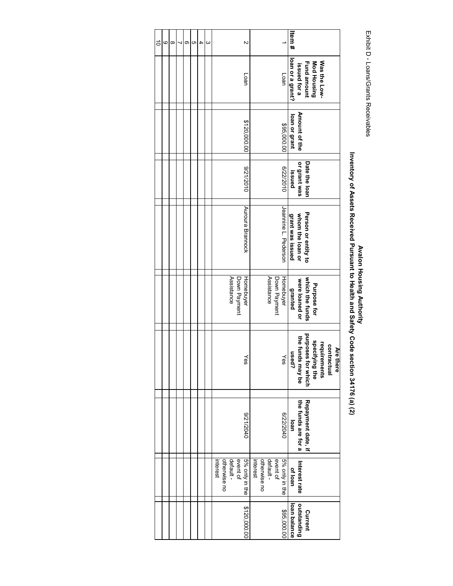Exhibit D - Loans/Grants Receivables Exhibit D - Loans/Grants Receivables

# Avalon Housing Authority<br>Inventory of Assets Received Pursuant to Health and Safety Code section 34176 (a) (2) **Inventory of Assets Received Pursuant to Health and Safety Code section 34176 (a) (2) Avalon Housing Authority**

| $\vec{0}$ | 6 | $\infty$ | တ | CΠ | 4 | ω | Z                                                                   |                                                                     | Item#            |                                                                                                                               |
|-----------|---|----------|---|----|---|---|---------------------------------------------------------------------|---------------------------------------------------------------------|------------------|-------------------------------------------------------------------------------------------------------------------------------|
|           |   |          |   |    |   |   | Loan                                                                | Loan                                                                | loan or a grant? | Mod Housing<br>Was the Low-<br><b>Fund amount</b><br>issued for a                                                             |
|           |   |          |   |    |   |   | \$120,000.00                                                        | \$95,000.00                                                         | loan or grant    | Amount of the                                                                                                                 |
|           |   |          |   |    |   |   | 0102/12/6                                                           | 0102/22/9                                                           | issued           | Date the loan<br>or grant was                                                                                                 |
|           |   |          |   |    |   |   | Auroura Brannock                                                    | Jeannine L. Pederson                                                | grant was issued | Person or entity to<br>whom the loan or                                                                                       |
|           |   |          |   |    |   |   | Assistance<br>Down Payment<br>Homebuyer                             | Assistance<br>Homebuyer<br>Down Payment                             | granted          | which the funds<br>were loaned or<br>Purpose for                                                                              |
|           |   |          |   |    |   |   | ∕es                                                                 | Yes                                                                 |                  | purposes for which<br>the funds may be<br>used?<br>specifying the<br>requirements<br>contractual<br>Are <sub>1</sub><br>there |
|           |   |          |   |    |   |   | 0+02/12/6                                                           | 07272040                                                            | loan             | the funds are for a<br>Repayment date, if                                                                                     |
|           |   |          |   |    |   |   | 5% only in the<br>event of<br>default -<br>otherwise no<br>interest | otherwise no<br>5% only in the<br>event of<br>default -<br>interest | of loan          | Interest rate                                                                                                                 |
|           |   |          |   |    |   |   | \$120,000.00                                                        | \$95,000.00                                                         | loan balance     | outstanding<br>Current                                                                                                        |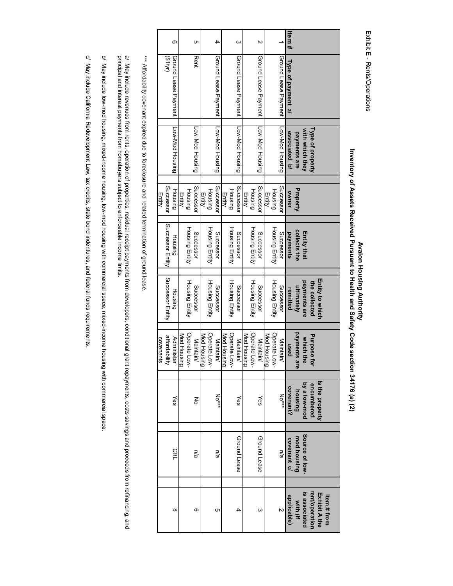| I<br>п |  |
|--------|--|
| I      |  |
| ì<br>t |  |

# Avalon Housing Authority<br>Inventory of Assets Received Pursuant to Health and Safety Code section 34176 (a) (2) **Inventory of Assets Received Pursuant to Health and Safety Code section 34176 (a) (2) Avalon Housing Authority**

|                      |                      | Type of property                |                          |                                    | <b>Entity to which</b><br>the collected | Purpose for                 |                                 | Is the property<br>encumbered<br>by a low-mod |                            |
|----------------------|----------------------|---------------------------------|--------------------------|------------------------------------|-----------------------------------------|-----------------------------|---------------------------------|-----------------------------------------------|----------------------------|
|                      |                      | with which they<br>payments are | Property                 | collects the<br><b>Entity that</b> | payments are<br>ultimately              |                             | payments are<br>which the       |                                               | Source of low-             |
| Type of payment a/   |                      | associated b/                   | owner                    | payments                           | remitted                                |                             | nsed                            | housing<br>covenant?                          | mod housing<br>covenant c/ |
| Ground Lease Payment |                      | Low-Mod Housing                 | Successol                | Successor                          | Successor                               | Maintain/                   |                                 | $NO^{\ast\ast\ast}$                           | n/a                        |
|                      |                      |                                 | Housing<br><b>Entity</b> | Housing Entity                     | Housing Entity                          | Operate Low-<br>Mod Housing |                                 |                                               |                            |
|                      | Ground Lease Payment | Low-Mod Housing                 | Successol                | Successor                          | Successor                               | Maintain/                   |                                 | Yes                                           | Ground Lease               |
|                      |                      |                                 | Housing<br><b>Entity</b> | <b>Housing Entity</b>              | Housing Entity                          | Operate Low-<br>Mod Housing |                                 |                                               |                            |
|                      | Ground Lease Payment | Low-Mod Housing                 | Successon                | Successor                          | Successor                               | Maintain/                   |                                 | γes                                           | Ground Lease               |
|                      |                      |                                 | Housing                  | <b>Housing Entity</b>              | Housing Entity                          | Operate Low-                |                                 |                                               |                            |
|                      |                      |                                 | <b>Entity</b>            |                                    |                                         | Mod Housing                 |                                 |                                               |                            |
|                      | Ground Lease Payment | Low-Mod Housing                 | Successo                 | Successor                          | Successor                               | Maintain/                   |                                 | No***                                         | ma                         |
|                      |                      |                                 | Housing<br>Entity        | Housing Entity                     | <b>Housing Entity</b>                   |                             | Operate Low-                    |                                               |                            |
|                      | <b>Rent</b>          | Low-Mod Housing                 | Successol                | Successor                          | Successor                               |                             | <b>Mod Housing</b><br>Maintain/ | ξ                                             | na                         |
|                      |                      |                                 | Housing                  | Housing Entity                     | <b>Housing Entity</b>                   |                             | Operate Low-                    |                                               |                            |
|                      |                      |                                 | <b>Entity</b>            |                                    |                                         | <b>Mod Housing</b>          |                                 |                                               |                            |
|                      | Ground Lease Payment | Low-Mod Housing                 | Housing                  | Housing                            | Housing                                 | <b>Administer</b>           |                                 | Yes                                           | <b>CRL</b>                 |
|                      | (M/L)                |                                 | Successor                | Successor Entity                   | Successor Entity                        | affordability               |                                 |                                               |                            |
|                      |                      |                                 | Entity                   |                                    |                                         |                             | covenants                       |                                               |                            |

\*\*\* Affordability covenant expired due to foreclosure and related termination of ground lease. \*\*\* Affordability covenant expired due to foreclosure and related termination of ground lease.

a/ May include revenues from rents, operation of properties, residual receipt payments from developers, conditional grant repayments, costs savings and proceeds from refinancing, and<br>principal and interest payments from ho a/ May include revenues from rents, operation of properties, residual receipt payments from developers, conditional grant repayments, costs savings and proceeds from refinancing, and principal and interest payments from homebuyers subject to enforceable income limits.

b/ May include low-mod housing, mixed-income housing, low-mod housing with commercial space, mixed-income housing with commercial space. b/ May include low-mod housing, mixed-income housing, low-mod housing with commercial space, mixed-income housing with commercial space.

c/ May include California Redevelopment Law, tax credits, state bond indentures, and federal funds requirements. c/ May include California Redevelopment Law, tax credits, state bond indentures, and federal funds requirements.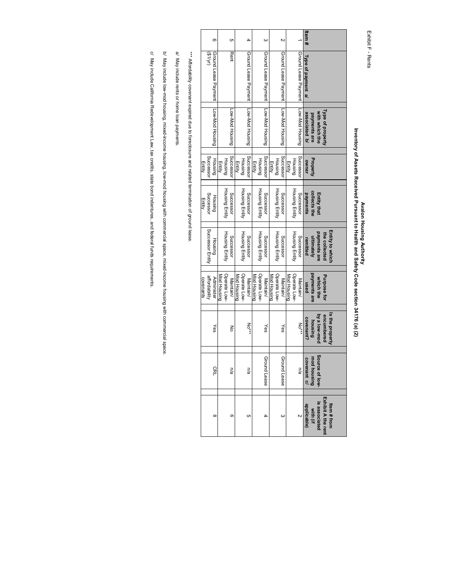Exhibit F - Rents Exhibit F - Rents

## Avalon Housing Authority<br>Inventory of Assets Received Pursuant to Health and Safety Code section 34176 (a) (2) **Inventory of Assets Received Pursuant to Health and Safety Code section 34176 (a) (2) Avalon Housing Authority**

|           |                     | ග                    |                    |                | c                |             |                | 4                    |             |                | ω                    |             |                | N                    |             |                |                      | tem#               |                            |                    |                  |                                   |  |
|-----------|---------------------|----------------------|--------------------|----------------|------------------|-------------|----------------|----------------------|-------------|----------------|----------------------|-------------|----------------|----------------------|-------------|----------------|----------------------|--------------------|----------------------------|--------------------|------------------|-----------------------------------|--|
|           | (M/1\$)             | Ground Lease Payment |                    |                | <b>Rent</b>      |             |                | Ground Lease Payment |             |                | Ground Lease Payment |             |                | Ground Lease Payment |             |                | Ground Lease Payment | Type of payment a/ |                            |                    |                  |                                   |  |
|           |                     | Low-Mod Housing      |                    |                | Low-Mod Housing  |             |                | Low-Mod Housing      |             |                | Low-Mod Housing      |             |                | Low-Mod Housing      |             |                | Low-Mod Housing      | associated b/      | payments are               | with which the     | Type of property |                                   |  |
| Entity    | Successol           | Housing              | Entity             | Housing        | Successon        | Entity      | Housing        | <b>Successon</b>     | Entity      | Housing        | Successon            | Entity      | <b>Housing</b> | Successon            | Entity      | Housing        | Successo             | owner              | Property                   |                    |                  |                                   |  |
| Entity    | Successor           | Housing              |                    | Housing Entity | <b>Successor</b> |             | Housing Entity | Successor            |             | Housing Entity | Successor            |             | Housing Entity | Successor            |             | Housing Entity | Successor            | payments           | collects the               | <b>Entity that</b> |                  |                                   |  |
|           | Successor<br>Entity | Housing              |                    | Housing Entity | Successor        |             | Housing Entity | Successor            |             | Housing Entity | Successor            |             | Housing Entity | Successor            |             | Housing Entity | Successor            | remitted           | ultimately                 | payments are       | the collected    | Entity to which                   |  |
| covenants | affordability       | Administer           | <b>Mod Housing</b> | Operate Low-   | Maintain/        | Mod Housing | Operate Low-   | <b>Maintain/</b>     | Mod Housing | Operate Low-   | <b>Maintain/</b>     | Mod Housing | Operate Low-   | <b>Maintain/</b>     | Mod Housing | Operate Low-   | Maintain/            | used               | payments are               | which the          | Purpose for      |                                   |  |
|           |                     | Yes                  |                    |                | ξ                |             |                | $NO^*$               |             |                | Yes                  |             |                | ≻es                  |             |                | No***                | covenant?          | housing                    | by a low-mod       | encumbered       | Is the property                   |  |
|           |                     | CRL                  |                    |                | ma               |             |                | n/a                  |             |                | Ground Lease         |             |                | Ground Lease         |             |                | n/a                  |                    | mod housing<br>covenant c/ | Source of low      |                  |                                   |  |
|           |                     | $\infty$             |                    |                | $\circ$          |             |                | ຕ                    |             |                |                      |             |                | ω                    |             |                |                      | applicable)        | with (if                   | is associated      |                  | ltem # from<br>Exhibit A the rent |  |

\*\*\* Affordability covenant expired due to foreclosure and related termination of ground lease. \*\*\* Affordability covenant expired due to foreclosure and related termination of ground lease.

a/ May include rents or home loan payments. a/ May include rents or home loan payments.

b/ May include low-mod housing, mixed-income housing, low-mod housing with commercial space, mixed-income housing with commercial space. b/ May include low-mod housing, mixed-income housing, low-mod housing with commercial space, mixed-income housing with commercial space.

c/ May include California Redevelopment Law, tax credits, state bond indentures, and federal funds requirements. c/ May include California Redevelopment Law, tax credits, state bond indentures, and federal funds requirements.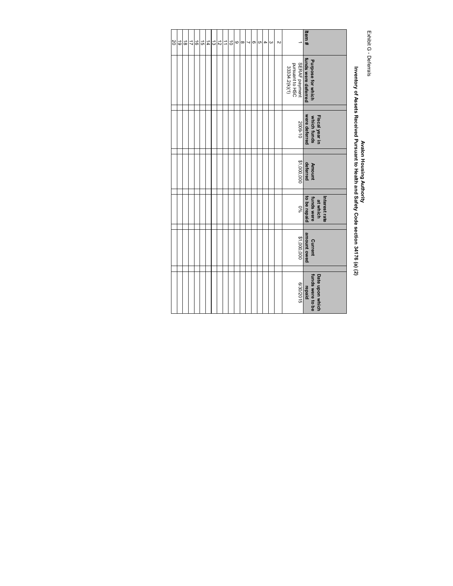Exhibit G - Deferrals Exhibit G - Deferrals

## Avalon Housing Authority<br>Inventory of Assets Received Pursuant to Health and Safety Code section 34176 (a) (2) **Inventory of Assets Received Pursuant to Health and Safety Code section 34176 (a) (2) Avalon Housing Authority**

| Item#     | Purpose for which<br>funds were deferred                 | were deferred<br>Fiscal year in<br>which funds | Amount<br>deferred | to be repaid<br>Interest rate<br>funds were<br>at which | amount owed<br><b>Current</b> | Date upon which<br>funds were to be<br>repaid |
|-----------|----------------------------------------------------------|------------------------------------------------|--------------------|---------------------------------------------------------|-------------------------------|-----------------------------------------------|
|           | <b>SERAF payment</b><br>pursuant to HSC<br>33334.2(k)(1) | 2009-10                                        | \$1,000,000        | <b>D%</b>                                               | \$1,000,000                   | 6/30/2015                                     |
| Z         |                                                          |                                                |                    |                                                         |                               |                                               |
| ω         |                                                          |                                                |                    |                                                         |                               |                                               |
| 4         |                                                          |                                                |                    |                                                         |                               |                                               |
| c         |                                                          |                                                |                    |                                                         |                               |                                               |
| ၜ         |                                                          |                                                |                    |                                                         |                               |                                               |
| 1         |                                                          |                                                |                    |                                                         |                               |                                               |
| $\infty$  |                                                          |                                                |                    |                                                         |                               |                                               |
| 6         |                                                          |                                                |                    |                                                         |                               |                                               |
| $\vec{0}$ |                                                          |                                                |                    |                                                         |                               |                                               |
| ⇉         |                                                          |                                                |                    |                                                         |                               |                                               |
| $\vec{z}$ |                                                          |                                                |                    |                                                         |                               |                                               |
| 14<br>ದ   |                                                          |                                                |                    |                                                         |                               |                                               |
| <u>ີ</u>  |                                                          |                                                |                    |                                                         |                               |                                               |
| $\vec{e}$ |                                                          |                                                |                    |                                                         |                               |                                               |
| $\vec{r}$ |                                                          |                                                |                    |                                                         |                               |                                               |
| $\vec{0}$ |                                                          |                                                |                    |                                                         |                               |                                               |
| $\vec{0}$ |                                                          |                                                |                    |                                                         |                               |                                               |
| 20        |                                                          |                                                |                    |                                                         |                               |                                               |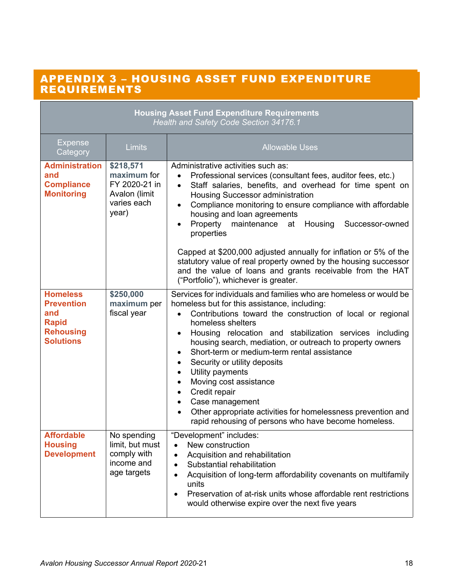### APPENDIX 3 – HOUSING ASSET FUND EXPENDITURE REQUIREMENTS

|                                                                                                     |                                                                                    | <b>Housing Asset Fund Expenditure Requirements</b><br>Health and Safety Code Section 34176.1                                                                                                                                                                                                                                                                                                                                                                                                                                                                                                                                                                                                         |
|-----------------------------------------------------------------------------------------------------|------------------------------------------------------------------------------------|------------------------------------------------------------------------------------------------------------------------------------------------------------------------------------------------------------------------------------------------------------------------------------------------------------------------------------------------------------------------------------------------------------------------------------------------------------------------------------------------------------------------------------------------------------------------------------------------------------------------------------------------------------------------------------------------------|
| <b>Expense</b><br>Category                                                                          | Limits                                                                             | <b>Allowable Uses</b>                                                                                                                                                                                                                                                                                                                                                                                                                                                                                                                                                                                                                                                                                |
| <b>Administration</b><br>and<br><b>Compliance</b><br><b>Monitoring</b>                              | \$218,571<br>maximum for<br>FY 2020-21 in<br>Avalon (limit<br>varies each<br>year) | Administrative activities such as:<br>Professional services (consultant fees, auditor fees, etc.)<br>$\bullet$<br>Staff salaries, benefits, and overhead for time spent on<br>$\bullet$<br>Housing Successor administration<br>Compliance monitoring to ensure compliance with affordable<br>$\bullet$<br>housing and loan agreements<br>Property maintenance at<br>Housing<br>Successor-owned<br>properties<br>Capped at \$200,000 adjusted annually for inflation or 5% of the                                                                                                                                                                                                                     |
|                                                                                                     |                                                                                    | statutory value of real property owned by the housing successor<br>and the value of loans and grants receivable from the HAT<br>("Portfolio"), whichever is greater.                                                                                                                                                                                                                                                                                                                                                                                                                                                                                                                                 |
| <b>Homeless</b><br><b>Prevention</b><br>and<br><b>Rapid</b><br><b>Rehousing</b><br><b>Solutions</b> | \$250,000<br>maximum per<br>fiscal year                                            | Services for individuals and families who are homeless or would be<br>homeless but for this assistance, including:<br>Contributions toward the construction of local or regional<br>homeless shelters<br>Housing relocation and stabilization services including<br>$\bullet$<br>housing search, mediation, or outreach to property owners<br>Short-term or medium-term rental assistance<br>Security or utility deposits<br>$\bullet$<br>Utility payments<br>$\bullet$<br>Moving cost assistance<br>$\bullet$<br>Credit repair<br>$\bullet$<br>Case management<br>$\bullet$<br>Other appropriate activities for homelessness prevention and<br>rapid rehousing of persons who have become homeless. |
| <b>Affordable</b><br><b>Housing</b><br><b>Development</b>                                           | No spending<br>limit, but must<br>comply with<br>income and<br>age targets         | "Development" includes:<br>New construction<br>$\bullet$<br>Acquisition and rehabilitation<br>$\bullet$<br>Substantial rehabilitation<br>Acquisition of long-term affordability covenants on multifamily<br>units<br>Preservation of at-risk units whose affordable rent restrictions<br>$\bullet$<br>would otherwise expire over the next five years                                                                                                                                                                                                                                                                                                                                                |